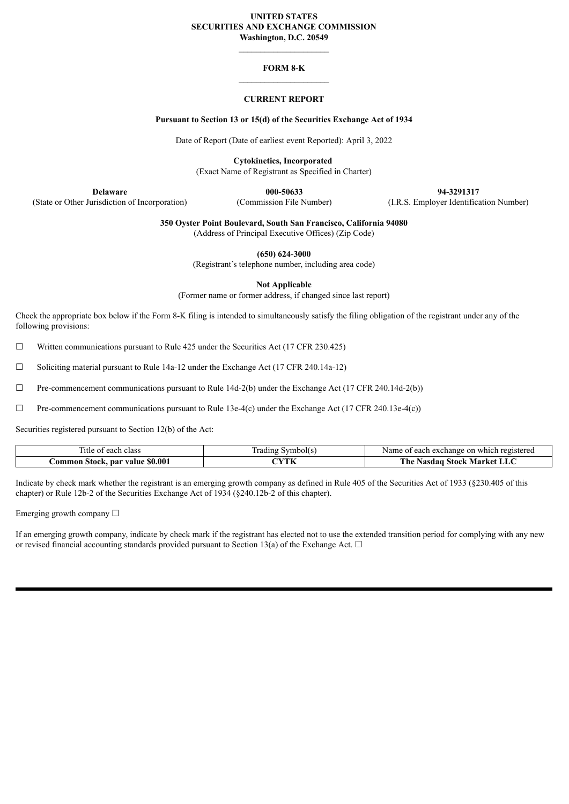## **UNITED STATES SECURITIES AND EXCHANGE COMMISSION Washington, D.C. 20549**

# **FORM 8-K**

# **CURRENT REPORT**

# **Pursuant to Section 13 or 15(d) of the Securities Exchange Act of 1934**

Date of Report (Date of earliest event Reported): April 3, 2022

**Cytokinetics, Incorporated**

(Exact Name of Registrant as Specified in Charter)

(State or Other Jurisdiction of Incorporation) (Commission File Number) (I.R.S. Employer Identification Number)

**Delaware 000-50633 94-3291317**

**350 Oyster Point Boulevard, South San Francisco, California 94080**

(Address of Principal Executive Offices) (Zip Code)

**(650) 624-3000**

(Registrant's telephone number, including area code)

**Not Applicable**

(Former name or former address, if changed since last report)

Check the appropriate box below if the Form 8-K filing is intended to simultaneously satisfy the filing obligation of the registrant under any of the following provisions:

 $\Box$  Written communications pursuant to Rule 425 under the Securities Act (17 CFR 230.425)

☐ Soliciting material pursuant to Rule 14a-12 under the Exchange Act (17 CFR 240.14a-12)

 $\Box$  Pre-commencement communications pursuant to Rule 14d-2(b) under the Exchange Act (17 CFR 240.14d-2(b))

 $\Box$  Pre-commencement communications pursuant to Rule 13e-4(c) under the Exchange Act (17 CFR 240.13e-4(c))

Securities registered pursuant to Section 12(b) of the Act:

| l itle of<br>class<br>0.00h<br>cacii        | ÷<br>.wr<br>radıng<br>വിട | registereo<br>exchange<br>each<br>which<br>Name<br>-on |
|---------------------------------------------|---------------------------|--------------------------------------------------------|
| \$0.00<br>.ommon<br><b>Stock, par value</b> | $^\sim$ VTL<br>1. IN      | m.<br>. ne<br>Stock<br>Market<br>Nasdao<br>- LLU       |

Indicate by check mark whether the registrant is an emerging growth company as defined in Rule 405 of the Securities Act of 1933 (§230.405 of this chapter) or Rule 12b-2 of the Securities Exchange Act of 1934 (§240.12b-2 of this chapter).

Emerging growth company  $\Box$ 

If an emerging growth company, indicate by check mark if the registrant has elected not to use the extended transition period for complying with any new or revised financial accounting standards provided pursuant to Section 13(a) of the Exchange Act.  $\Box$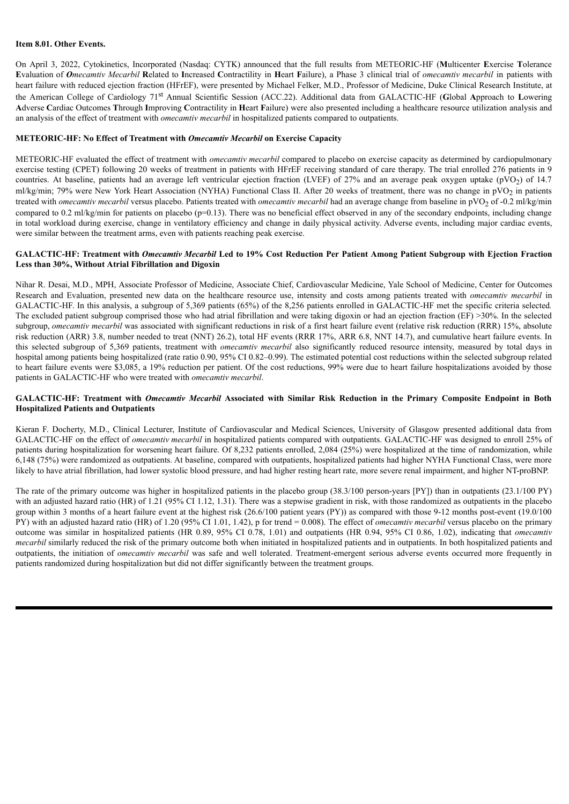## **Item 8.01. Other Events.**

On April 3, 2022, Cytokinetics, Incorporated (Nasdaq: CYTK) announced that the full results from METEORIC-HF (**M**ulticenter **E**xercise **T**olerance Evaluation of Omecamtiv Mecarbil Related to Increased Contractility in Heart Failure), a Phase 3 clinical trial of omecamtiv mecarbil in patients with heart failure with reduced ejection fraction (HFrEF), were presented by Michael Felker, M.D., Professor of Medicine, Duke Clinical Research Institute, at the American College of Cardiology 71 st Annual Scientific Session (ACC.22). Additional data from GALACTIC-HF (**G**lobal **A**pproach to **L**owering **A**dverse **C**ardiac Outcomes **T**hrough **I**mproving **C**ontractility in **H**eart **F**ailure) were also presented including a healthcare resource utilization analysis and an analysis of the effect of treatment with *omecamtiv mecarbil* in hospitalized patients compared to outpatients.

## **METEORIC-HF: No Effect of Treatment with** *Omecamtiv Mecarbil* **on Exercise Capacity**

METEORIC-HF evaluated the effect of treatment with *omecamtiv mecarbil* compared to placebo on exercise capacity as determined by cardiopulmonary exercise testing (CPET) following 20 weeks of treatment in patients with HFrEF receiving standard of care therapy. The trial enrolled 276 patients in 9 countries. At baseline, patients had an average left ventricular ejection fraction (LVEF) of  $27\%$  and an average peak oxygen uptake (pVO<sub>2</sub>) of 14.7 ml/kg/min; 79% were New York Heart Association (NYHA) Functional Class II. After 20 weeks of treatment, there was no change in pVO<sub>2</sub> in patients treated with *omecamtiv mecarbil* versus placebo. Patients treated with *omecamtiv mecarbil* had an average change from baseline in pVO<sup>2</sup> of -0.2 ml/kg/min compared to 0.2 ml/kg/min for patients on placebo ( $p=0.13$ ). There was no beneficial effect observed in any of the secondary endpoints, including change in total workload during exercise, change in ventilatory efficiency and change in daily physical activity. Adverse events, including major cardiac events, were similar between the treatment arms, even with patients reaching peak exercise.

#### GALACTIC-HF: Treatment with Omecamtiv Mecarbil Led to 19% Cost Reduction Per Patient Among Patient Subgroup with Ejection Fraction **Less than 30%, Without Atrial Fibrillation and Digoxin**

Nihar R. Desai, M.D., MPH, Associate Professor of Medicine, Associate Chief, Cardiovascular Medicine, Yale School of Medicine, Center for Outcomes Research and Evaluation, presented new data on the healthcare resource use, intensity and costs among patients treated with *omecamtiv mecarbil* in GALACTIC-HF. In this analysis, a subgroup of 5,369 patients (65%) of the 8,256 patients enrolled in GALACTIC-HF met the specific criteria selected*.* The excluded patient subgroup comprised those who had atrial fibrillation and were taking digoxin or had an ejection fraction (EF) >30%. In the selected subgroup, *omecamtiv mecarbil* was associated with significant reductions in risk of a first heart failure event (relative risk reduction (RRR) 15%, absolute risk reduction (ARR) 3.8, number needed to treat (NNT) 26.2), total HF events (RRR 17%, ARR 6.8, NNT 14.7), and cumulative heart failure events. In this selected subgroup of 5,369 patients, treatment with *omecamtiv mecarbil* also significantly reduced resource intensity, measured by total days in hospital among patients being hospitalized (rate ratio 0.90, 95% CI 0.82–0.99). The estimated potential cost reductions within the selected subgroup related to heart failure events were \$3,085, a 19% reduction per patient. Of the cost reductions, 99% were due to heart failure hospitalizations avoided by those patients in GALACTIC-HF who were treated with *omecamtiv mecarbil*.

# GALACTIC-HF: Treatment with Omecamtiv Mecarbil Associated with Similar Risk Reduction in the Primary Composite Endpoint in Both **Hospitalized Patients and Outpatients**

Kieran F. Docherty, M.D., Clinical Lecturer, Institute of Cardiovascular and Medical Sciences, University of Glasgow presented additional data from GALACTIC-HF on the effect of *omecamtiv mecarbil* in hospitalized patients compared with outpatients. GALACTIC-HF was designed to enroll 25% of patients during hospitalization for worsening heart failure. Of 8,232 patients enrolled, 2,084 (25%) were hospitalized at the time of randomization, while 6,148 (75%) were randomized as outpatients. At baseline, compared with outpatients, hospitalized patients had higher NYHA Functional Class, were more likely to have atrial fibrillation, had lower systolic blood pressure, and had higher resting heart rate, more severe renal impairment, and higher NT-proBNP.

The rate of the primary outcome was higher in hospitalized patients in the placebo group (38.3/100 person-years [PY]) than in outpatients (23.1/100 PY) with an adjusted hazard ratio (HR) of 1.21 (95% CI 1.12, 1.31). There was a stepwise gradient in risk, with those randomized as outpatients in the placebo group within 3 months of a heart failure event at the highest risk (26.6/100 patient years (PY)) as compared with those 9-12 months post-event (19.0/100 PY) with an adjusted hazard ratio (HR) of 1.20 (95% CI 1.01, 1.42), p for trend = 0.008). The effect of *omecamtiv mecarbil* versus placebo on the primary outcome was similar in hospitalized patients (HR 0.89, 95% CI 0.78, 1.01) and outpatients (HR 0.94, 95% CI 0.86, 1.02), indicating that *omecamtiv mecarbil* similarly reduced the risk of the primary outcome both when initiated in hospitalized patients and in outpatients. In both hospitalized patients and outpatients, the initiation of *omecamtiv mecarbil* was safe and well tolerated. Treatment-emergent serious adverse events occurred more frequently in patients randomized during hospitalization but did not differ significantly between the treatment groups.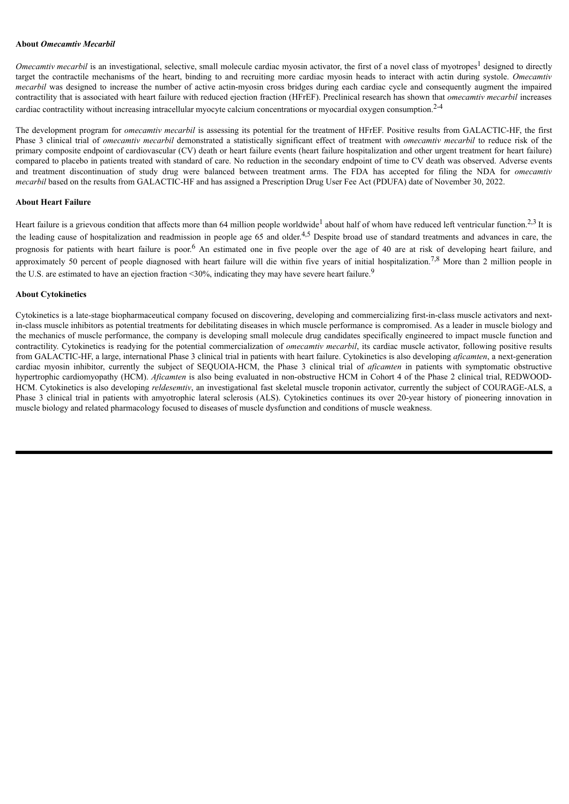#### **About** *Omecamtiv Mecarbil*

Omecamtiv mecarbil is an investigational, selective, small molecule cardiac myosin activator, the first of a novel class of myotropes<sup>1</sup> designed to directly target the contractile mechanisms of the heart, binding to and recruiting more cardiac myosin heads to interact with actin during systole. *Omecamtiv mecarbil* was designed to increase the number of active actin-myosin cross bridges during each cardiac cycle and consequently augment the impaired contractility that is associated with heart failure with reduced ejection fraction (HFrEF). Preclinical research has shown that *omecamtiv mecarbil* increases cardiac contractility without increasing intracellular myocyte calcium concentrations or myocardial oxygen consumption. 2-4

The development program for *omecamtiv mecarbil* is assessing its potential for the treatment of HFrEF. Positive results from GALACTIC-HF, the first Phase 3 clinical trial of *omecamtiv mecarbil* demonstrated a statistically significant effect of treatment with *omecamtiv mecarbil* to reduce risk of the primary composite endpoint of cardiovascular (CV) death or heart failure events (heart failure hospitalization and other urgent treatment for heart failure) compared to placebo in patients treated with standard of care. No reduction in the secondary endpoint of time to CV death was observed. Adverse events and treatment discontinuation of study drug were balanced between treatment arms. The FDA has accepted for filing the NDA for *omecamtiv mecarbil* based on the results from GALACTIC-HF and has assigned a Prescription Drug User Fee Act (PDUFA) date of November 30, 2022.

# **About Heart Failure**

Heart failure is a grievous condition that affects more than 64 million people worldwide<sup>1</sup> about half of whom have reduced left ventricular function.<sup>2,3</sup> It is the leading cause of hospitalization and readmission in people age 65 and older.<sup>4,5</sup> Despite broad use of standard treatments and advances in care, the prognosis for patients with heart failure is poor.<sup>6</sup> An estimated one in five people over the age of 40 are at risk of developing heart failure, and approximately 50 percent of people diagnosed with heart failure will die within five years of initial hospitalization.<sup>7,8</sup> More than 2 million people in the U.S. are estimated to have an ejection fraction <30%, indicating they may have severe heart failure.<sup>9</sup>

#### **About Cytokinetics**

Cytokinetics is a late-stage biopharmaceutical company focused on discovering, developing and commercializing first-in-class muscle activators and nextin-class muscle inhibitors as potential treatments for debilitating diseases in which muscle performance is compromised. As a leader in muscle biology and the mechanics of muscle performance, the company is developing small molecule drug candidates specifically engineered to impact muscle function and contractility. Cytokinetics is readying for the potential commercialization of *omecamtiv mecarbil*, its cardiac muscle activator, following positive results from GALACTIC-HF, a large, international Phase 3 clinical trial in patients with heart failure. Cytokinetics is also developing *aficamten*, a next-generation cardiac myosin inhibitor, currently the subject of SEQUOIA-HCM, the Phase 3 clinical trial of *aficamten* in patients with symptomatic obstructive hypertrophic cardiomyopathy (HCM). *Aficamten* is also being evaluated in non-obstructive HCM in Cohort 4 of the Phase 2 clinical trial, REDWOOD-HCM. Cytokinetics is also developing *reldesemtiv*, an investigational fast skeletal muscle troponin activator, currently the subject of COURAGE-ALS, a Phase 3 clinical trial in patients with amyotrophic lateral sclerosis (ALS). Cytokinetics continues its over 20-year history of pioneering innovation in muscle biology and related pharmacology focused to diseases of muscle dysfunction and conditions of muscle weakness.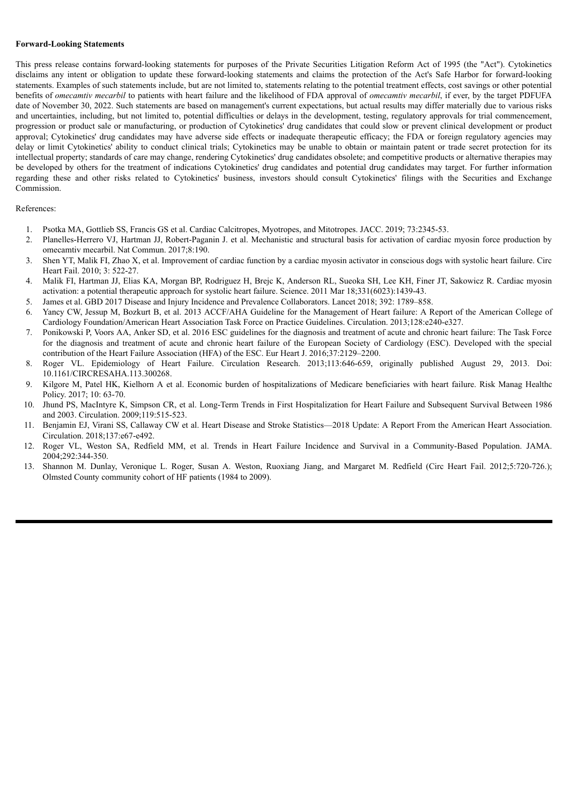#### **Forward-Looking Statements**

This press release contains forward-looking statements for purposes of the Private Securities Litigation Reform Act of 1995 (the "Act"). Cytokinetics disclaims any intent or obligation to update these forward-looking statements and claims the protection of the Act's Safe Harbor for forward-looking statements. Examples of such statements include, but are not limited to, statements relating to the potential treatment effects, cost savings or other potential benefits of *omecamtiv mecarbil* to patients with heart failure and the likelihood of FDA approval of *omecamtiv mecarbil*, if ever, by the target PDFUFA date of November 30, 2022. Such statements are based on management's current expectations, but actual results may differ materially due to various risks and uncertainties, including, but not limited to, potential difficulties or delays in the development, testing, regulatory approvals for trial commencement, progression or product sale or manufacturing, or production of Cytokinetics' drug candidates that could slow or prevent clinical development or product approval; Cytokinetics' drug candidates may have adverse side effects or inadequate therapeutic efficacy; the FDA or foreign regulatory agencies may delay or limit Cytokinetics' ability to conduct clinical trials; Cytokinetics may be unable to obtain or maintain patent or trade secret protection for its intellectual property; standards of care may change, rendering Cytokinetics' drug candidates obsolete; and competitive products or alternative therapies may be developed by others for the treatment of indications Cytokinetics' drug candidates and potential drug candidates may target. For further information regarding these and other risks related to Cytokinetics' business, investors should consult Cytokinetics' filings with the Securities and Exchange Commission.

# References:

- 1. Psotka MA, Gottlieb SS, Francis GS et al. Cardiac Calcitropes, Myotropes, and Mitotropes. JACC. 2019; 73:2345-53.
- 2. Planelles-Herrero VJ, Hartman JJ, Robert-Paganin J. et al. Mechanistic and structural basis for activation of cardiac myosin force production by omecamtiv mecarbil. Nat Commun. 2017;8:190.
- 3. Shen YT, Malik FI, Zhao X, et al. Improvement of cardiac function by a cardiac myosin activator in conscious dogs with systolic heart failure. Circ Heart Fail. 2010; 3: 522-27.
- 4. Malik FI, Hartman JJ, Elias KA, Morgan BP, Rodriguez H, Brejc K, Anderson RL, Sueoka SH, Lee KH, Finer JT, Sakowicz R. Cardiac myosin activation: a potential therapeutic approach for systolic heart failure. Science. 2011 Mar 18;331(6023):1439-43.
- 5. James et al. GBD 2017 Disease and Injury Incidence and Prevalence Collaborators. Lancet 2018; 392: 1789–858.
- 6. Yancy CW, Jessup M, Bozkurt B, et al. 2013 ACCF/AHA Guideline for the Management of Heart failure: A Report of the American College of Cardiology Foundation/American Heart Association Task Force on Practice Guidelines. Circulation. 2013;128:e240-e327.
- 7. Ponikowski P, Voors AA, Anker SD, et al. 2016 ESC guidelines for the diagnosis and treatment of acute and chronic heart failure: The Task Force for the diagnosis and treatment of acute and chronic heart failure of the European Society of Cardiology (ESC). Developed with the special contribution of the Heart Failure Association (HFA) of the ESC. Eur Heart J. 2016;37:2129–2200.
- 8. Roger VL. Epidemiology of Heart Failure. Circulation Research. 2013;113:646-659, originally published August 29, 2013. Doi: 10.1161/CIRCRESAHA.113.300268.
- 9. Kilgore M, Patel HK, Kielhorn A et al. Economic burden of hospitalizations of Medicare beneficiaries with heart failure. Risk Manag Healthc Policy. 2017; 10: 63-70.
- 10. Jhund PS, MacIntyre K, Simpson CR, et al. Long-Term Trends in First Hospitalization for Heart Failure and Subsequent Survival Between 1986 and 2003. Circulation. 2009;119:515-523.
- 11. Benjamin EJ, Virani SS, Callaway CW et al. Heart Disease and Stroke Statistics—2018 Update: A Report From the American Heart Association. Circulation. 2018;137:e67-e492.
- 12. Roger VL, Weston SA, Redfield MM, et al. Trends in Heart Failure Incidence and Survival in a Community-Based Population. JAMA. 2004;292:344-350.
- 13. Shannon M. Dunlay, Veronique L. Roger, Susan A. Weston, Ruoxiang Jiang, and Margaret M. Redfield (Circ Heart Fail. 2012;5:720-726.); Olmsted County community cohort of HF patients (1984 to 2009).